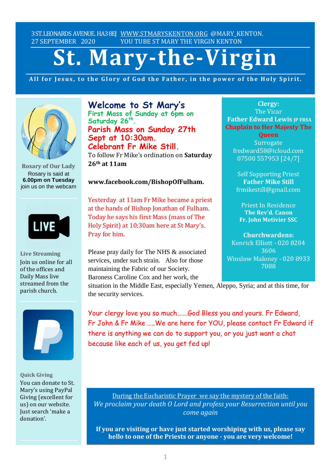3ST.LEONARDS AVENUE. HA38EJ [WWW.STMARYSKENTON.ORG](http://www.stmaryskenton.org/) @MARY KENTON. 27 SEPTEMBER 2020 YOU TUBE ST MARY THE VIRGIN KENTON

# **St. Mary-the-Virgin**

All for Jesus, to the Glory of God the Father, in the power of the Holy Spirit.



**Rosary of Our Lady** Rosary is said at **6.00pm on Tuesday** join us on the webcam



**Live Streaming** Join us online for all of the offices and Daily Mass live streamed from the parish church.



**Quick Giving** You can donate to St. Mary's using PayPal Giving (excellent for us) on our website. Just search 'make a donation'.

**Welcome to St Mary's First Mass of Sunday at 6pm on Saturday 26th . Parish Mass on Sunday 27th Sept at 10:30am. Celebrant Fr Mike Still.**

To follow Fr Mike's ordination on **Saturday 26th at 11am**

#### **www.facebook.com/BishopOfFulham.**

Yesterday at 11am Fr Mike became a priest at the hands of Bishop Jonathan of Fulham. Today he says his first Mass (mass of The Holy Spirit) at 10;30am here at St Mary's. Pray for him.

Please pray daily for The NHS & associated services, under such strain. Also for those maintaining the Fabric of our Society. Baroness Caroline Cox and her work, the

**Clergy:** The Vicar **Father Edward Lewis IP FRSA Chaplain to Her Majesty The**

**Queen Surrogate** fredward58@icloud.com 07500 557953 [24/7]

Self Supporting Priest **Father Mike Still** frmikestill@gmail.com

Priest In Residence **The Rev'd. Canon Fr. John Metivier SSC**

**Churchwardens:** Kenrick Elliott - 020 8204 3606 Winslow Maloney - 020 8933 7088

situation in the Middle East, especially Yemen, Aleppo, Syria; and at this time, for *Please let Fr. Edward know* the security services. *of*  $\alpha$  *of*  $\beta$  *other are as as*  $\alpha$  *other need* 

Your clergy love you so much…….God Bless you and yours. Fr Edward, Fr John & Fr Mike …..We are here for YOU, please contact Fr Edward if there is anything we can do to support you, or you just want a chat because like each of us, you get fed up!

During the Eucharistic Prayer we say the mystery of the faith: *We proclaim your death O Lord and profess your Resurrection until you come again*

**If you are visiting or have just started worshiping with us, please say hello to one of the Priests or anyone - you are very welcome!**